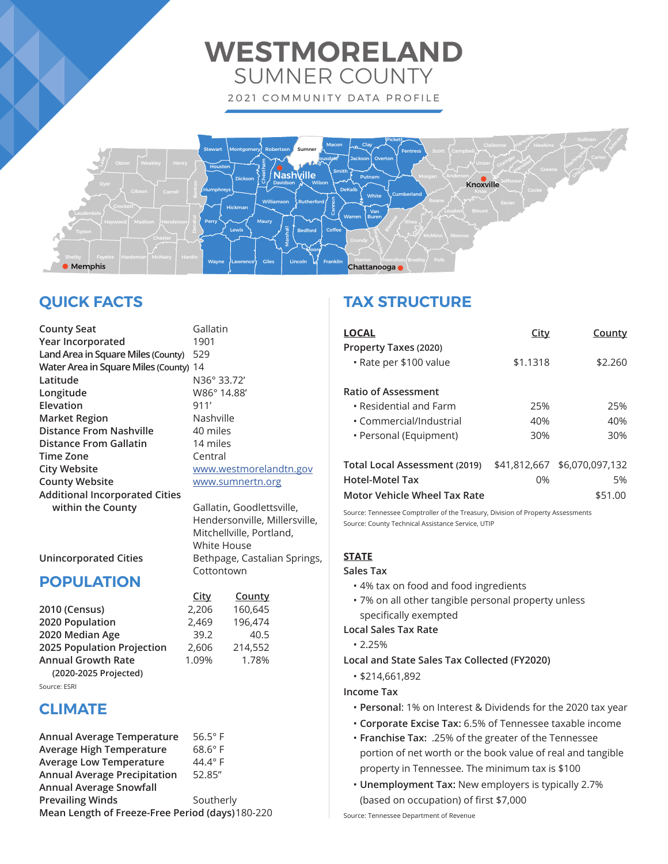# **WESTMORELAND** SUMNER COUNTY

2021 COMMUNITY DATA PROFILE



# **QUICK FACTS**

| <b>County Seat</b>                    | Galla           |
|---------------------------------------|-----------------|
| Year Incorporated                     | 1901            |
| Land Area in Square Miles (County)    | 529             |
| Water Area in Square Miles (County)   | 14              |
| Latitude                              | N36°            |
| Longitude                             | <b>W86</b>      |
| Elevation                             | 911'            |
| <b>Market Region</b>                  | Nash            |
| <b>Distance From Nashville</b>        | 40 m            |
| <b>Distance From Gallatin</b>         | 14 <sub>m</sub> |
| <b>Time Zone</b>                      | Cent            |
| <b>City Website</b>                   | <b>WWW</b>      |
| <b>County Website</b>                 | <b>WWW</b>      |
| <b>Additional Incorporated Cities</b> |                 |
| within the County                     | Galla           |
|                                       |                 |

<mark>iallatin</mark><br>901 **Latitude** N36° 33.72' **Longitude** W86° 14.88' lashville 0 miles 4 miles **Tentral City Website** www.westmorelandtn.gov **County Website** www.sumnertn.org

**within the County** Gallatin**,** Goodlettsville, Hendersonville, Millersville, Mitchellville, Portland, White House **Unincorporated Cities** Bethpage, Castalian Springs, Cottontown

# **POPULATION**

|                            | <u>City</u> | County  |
|----------------------------|-------------|---------|
| 2010 (Census)              | 2,206       | 160,645 |
| 2020 Population            | 2,469       | 196,474 |
| 2020 Median Age            | 39.2        | 40.5    |
| 2025 Population Projection | 2,606       | 214,552 |
| <b>Annual Growth Rate</b>  | 1.09%       | 1.78%   |
| (2020-2025 Projected)      |             |         |

Source: ESRI

# **CLIMATE**

| Annual Average Temperature                       | $56.5^\circ$ F |  |
|--------------------------------------------------|----------------|--|
| Average High Temperature                         | $68.6^\circ$ F |  |
| <b>Average Low Temperature</b>                   | $44.4^\circ$ F |  |
| <b>Annual Average Precipitation</b>              | 52.85"         |  |
| <b>Annual Average Snowfall</b>                   |                |  |
| <b>Prevailing Winds</b>                          | Southerly      |  |
| Mean Length of Freeze-Free Period (days) 180-220 |                |  |

# **TAX STRUCTURE**

| <b>LOCAL</b>                                            | City               | <b>County</b>         |
|---------------------------------------------------------|--------------------|-----------------------|
| Property Taxes (2020)                                   |                    |                       |
| • Rate per \$100 value                                  | \$1.1318           | \$2.260               |
| <b>Ratio of Assessment</b>                              |                    |                       |
| $\cdot$ Residential and Farm                            | 25%                | 25%                   |
| • Commercial/Industrial                                 | 40%                | 40%                   |
| • Personal (Equipment)                                  | 30%                | 30%                   |
| Total Local Assessment (2019)<br><b>Hotel-Motel Tax</b> | \$41.812.667<br>0% | \$6,070,097,132<br>5% |

# **Motor Vehicle Wheel Tax Rate**  $$51.00$

Source: Tennessee Comptroller of the Treasury, Division of Property Assessments Source: County Technical Assistance Service, UTIP

### **STATE**

### **Sales Tax**

- 4% tax on food and food ingredients
- 7% on all other tangible personal property unless specifically exempted

### **Local Sales Tax Rate**

- 2.25%
- **Local and State Sales Tax Collected (FY2020)**
	- \$214,661,892

### **Income Tax**

- **Personal**: 1% on Interest & Dividends for the 2020 tax year
- **Corporate Excise Tax:** 6.5% of Tennessee taxable income
- **Franchise Tax:** .25% of the greater of the Tennessee portion of net worth or the book value of real and tangible property in Tennessee. The minimum tax is \$100
- **Unemployment Tax:** New employers is typically 2.7% (based on occupation) of first \$7,000

Source: Tennessee Department of Revenue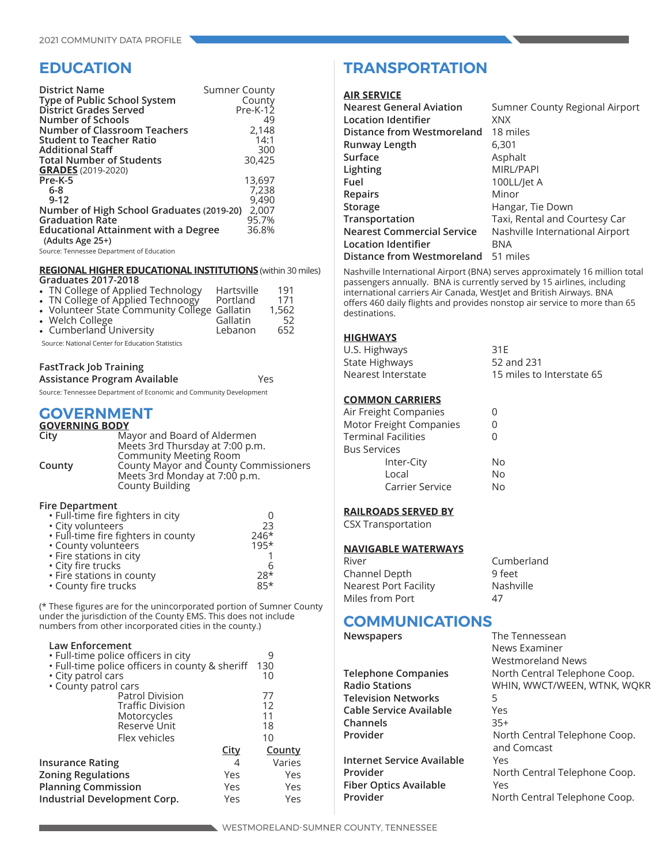# **EDUCATION**

| <b>District Name</b><br>Type of Public School System<br>District Grades Served<br>Number of Schools | <b>Sumner County</b><br>County<br>$Pre-K-12$<br>49 |
|-----------------------------------------------------------------------------------------------------|----------------------------------------------------|
| Number of Classroom Teachers                                                                        | 2,148                                              |
| <b>Student to Teacher Ratio</b>                                                                     | 14:1                                               |
| <b>Additional Staff</b>                                                                             | 300                                                |
| <b>Total Number of Students</b>                                                                     | 30,425                                             |
| <b>GRADES</b> (2019-2020)                                                                           |                                                    |
| Pre-K-5                                                                                             | 13,697                                             |
| $6-8$                                                                                               | 7,238                                              |
| $9 - 12$                                                                                            | 9,490                                              |
| Number of High School Graduates (2019-20)                                                           | 2,007                                              |
| <b>Graduation Rate</b>                                                                              | 95.7%                                              |
| <b>Educational Attainment with a Degree</b><br>(Adults Age 25+)                                     | 36.8%                                              |
|                                                                                                     |                                                    |

Source: Tennessee Department of Education

### **REGIONAL HIGHER EDUCATIONAL INSTITUTIONS** (within 30 miles)

| <b>Graduates 2017-2018</b>                                                                 |            |       |
|--------------------------------------------------------------------------------------------|------------|-------|
| • TN College of Applied Technology                                                         | Hartsville | 191   |
|                                                                                            | Portland   | 171   |
| • TN College of Applied Technoogy Portland<br>• Volunteer State Community College Gallatin |            | 1,562 |
| • Welch College                                                                            | Gallatin   | 52    |
| • Cumberland University                                                                    | Lebanon    | 652   |

Source: National Center for Education Statistics

### **FastTrack Job Training**

| Assistance Program Available                                       | Yes |
|--------------------------------------------------------------------|-----|
| Source: Tennessee Department of Economic and Community Development |     |

### **GOVERNMENT**

### **GOVERNING BODY**

| City   | Mayor and Board of Aldermen           |
|--------|---------------------------------------|
|        | Meets 3rd Thursday at 7:00 p.m.       |
|        | <b>Community Meeting Room</b>         |
| County | County Mayor and County Commissioners |
|        | Meets 3rd Monday at 7:00 p.m.         |
|        | <b>County Building</b>                |

### **Fire Department**

| • Full-time fire fighters in city   |        |
|-------------------------------------|--------|
| • City volunteers                   | 23     |
| • Full-time fire fighters in county | $246*$ |
| • County volunteers                 | $195*$ |
| • Fire stations in city             |        |
| • City fire trucks                  | 6      |
| • Fire stations in county           | $28*$  |
| • County fire trucks                | $85*$  |

(\* These figures are for the unincorporated portion of Sumner County under the jurisdiction of the County EMS. This does not include numbers from other incorporated cities in the county.)

### **Law Enforcement**

| • Full-time police officers in city             |             | 9             |
|-------------------------------------------------|-------------|---------------|
| • Full-time police officers in county & sheriff |             | 130           |
| • City patrol cars                              |             | 10            |
| • County patrol cars                            |             |               |
| <b>Patrol Division</b>                          |             | 77            |
| <b>Traffic Division</b>                         |             | 12            |
| Motorcycles                                     |             | 11            |
| Reserve Unit                                    |             | 18            |
| Flex vehicles                                   |             | 10            |
|                                                 | <u>City</u> | <b>County</b> |
| <b>Insurance Rating</b>                         | 4           | Varies        |
| <b>Zoning Regulations</b>                       | Yes         | Yes           |
| <b>Planning Commission</b>                      | Yes         | Yes           |
| Industrial Development Corp.                    | Yes         | Yes           |
|                                                 |             |               |

# **TRANSPORTATION**

### **AIR SERVICE**

| Sumner County Regional Airport  |
|---------------------------------|
| <b>XNX</b>                      |
| 18 miles                        |
| 6,301                           |
| Asphalt                         |
| MIRL/PAPI                       |
| 100LL/let A                     |
| Minor                           |
| Hangar, Tie Down                |
| Taxi, Rental and Courtesy Car   |
| Nashville International Airport |
| <b>BNA</b>                      |
| 51 miles                        |
|                                 |

Nashville International Airport (BNA) serves approximately 16 million total passengers annually. BNA is currently served by 15 airlines, including international carriers Air Canada, WestJet and British Airways. BNA offers 460 daily flights and provides nonstop air service to more than 65 destinations.

### **HIGHWAYS**

| U.S. Highways      | 31E                       |
|--------------------|---------------------------|
| State Highways     | 52 and 231                |
| Nearest Interstate | 15 miles to Interstate 65 |

### **COMMON CARRIERS**

| Air Freight Companies   |    |
|-------------------------|----|
| Motor Freight Companies | 0  |
| Terminal Facilities     | O  |
| <b>Bus Services</b>     |    |
| Inter-City              | N٥ |
| Local                   | No |
| Carrier Service         | N٥ |
|                         |    |

### **RAILROADS SERVED BY**

CSX Transportation

### **NAVIGABLE WATERWAYS**

| River                 | Cumberland |
|-----------------------|------------|
| Channel Depth         | 9 feet     |
| Nearest Port Facility | Nashville  |
| Miles from Port       | 47         |

# **COMMUNICATIONS**<br> **Newspapers**

|                         | Wes   |
|-------------------------|-------|
| Telephone Companies     | Nor   |
| <b>Radio Stations</b>   | WHI   |
| Television Networks     | 5     |
| Cable Service Available | Yes.  |
| Channels                | $35+$ |
| Provider                | Nor   |
|                         | and   |
|                         |       |

**Internet Service Available** Yes **Fiber Optics Available** Yes

**The Tennessean** News Examiner Westmoreland News North Central Telephone Coop. **Radio Stations** WHIN, WWCT/WEEN, WTNK, WQKR **Provider** North Central Telephone Coop. and Comcast **Provider** North Central Telephone Coop. **Provider** North Central Telephone Coop.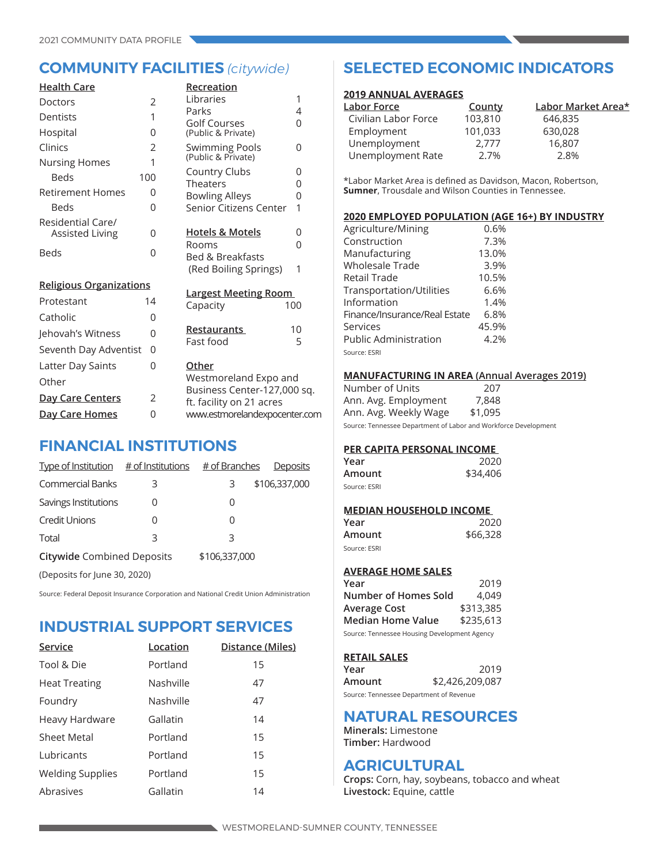| <u> Health Care</u>                         |     | Recreation                                                    |        |
|---------------------------------------------|-----|---------------------------------------------------------------|--------|
| Doctors                                     | 2   | Libraries                                                     | 1      |
| Dentists                                    | 1   | Parks                                                         | 4      |
| Hospital                                    | 0   | <b>Golf Courses</b><br>(Public & Private)                     | 0      |
| Clinics                                     | 2   | <b>Swimming Pools</b>                                         | 0      |
| <b>Nursing Homes</b>                        | 1   | (Public & Private)                                            |        |
| Beds                                        | 100 | Country Clubs<br>Theaters                                     | 0      |
| <b>Retirement Homes</b>                     | 0   | <b>Bowling Alleys</b>                                         | 0<br>0 |
| Beds                                        | 0   | Senior Citizens Center                                        | 1      |
| Residential Care/<br><b>Assisted Living</b> | 0   | <b>Hotels &amp; Motels</b>                                    | 0      |
| <b>Beds</b>                                 | 0   | Rooms<br><b>Bed &amp; Breakfasts</b><br>(Red Boiling Springs) | 0<br>1 |
| <b>Religious Organizations</b>              |     |                                                               |        |
| Protestant                                  | 14  | <b>Largest Meeting Room</b><br>Capacity                       | 100    |
| Catholic                                    | 0   |                                                               |        |
| Jehovah's Witness                           | 0   | Restaurants                                                   | 10     |
| Seventh Day Adventist                       | 0   | Fast food                                                     | 5      |
| Latter Day Saints                           | 0   | Other                                                         |        |
| Other                                       |     | Westmoreland Expo and                                         |        |
| <b>Day Care Centers</b>                     | 2   | Business Center-127,000 sq.<br>ft. facility on 21 acres       |        |
| <u>Day Care Homes</u>                       | 0   | www.estmorelandexpocenter.com                                 |        |

# **FINANCIAL INSTITUTIONS**

| Type of Institution $#$ of Institutions |   | # of Branches | Deposits      |
|-----------------------------------------|---|---------------|---------------|
| <b>Commercial Banks</b>                 | 3 | З             | \$106,337,000 |
| Savings Institutions                    |   | 0             |               |
| <b>Credit Unions</b>                    | Ω | Ω             |               |
| Total                                   | 3 | 3             |               |
| <b>Citywide Combined Deposits</b>       |   | \$106,337,000 |               |
| (Deposits for June 30, 2020)            |   |               |               |

Source: Federal Deposit Insurance Corporation and National Credit Union Administration

# **INDUSTRIAL SUPPORT SERVICES**

| Service                 | Location  | Distance (Miles) |
|-------------------------|-----------|------------------|
| Tool & Die              | Portland  | 15               |
| <b>Heat Treating</b>    | Nashville | 47               |
| Foundry                 | Nashville | 47               |
| Heavy Hardware          | Gallatin  | 14               |
| Sheet Metal             | Portland  | 15               |
| Lubricants              | Portland  | 15               |
| <b>Welding Supplies</b> | Portland  | 15               |
| Abrasives               | Gallatin  | 14               |

# **COMMUNITY FACILITIES** *(citywide)* **SELECTED ECONOMIC INDICATORS**

### **2019 ANNUAL AVERAGES**

| Labor Force          | County  | Labor Market Area* |
|----------------------|---------|--------------------|
| Civilian Labor Force | 103,810 | 646,835            |
| Employment           | 101,033 | 630,028            |
| Unemployment         | 2.777   | 16,807             |
| Unemployment Rate    | 2.7%    | 2.8%               |

\*Labor Market Area is defined as Davidson, Macon, Robertson, **Sumner**, Trousdale and Wilson Counties in Tennessee.

### **2020 EMPLOYED POPULATION (AGE 16+) BY INDUSTRY**

| Agriculture/Mining            | 0.6%  |
|-------------------------------|-------|
| Construction                  | 7.3%  |
| Manufacturing                 | 13.0% |
| <b>Wholesale Trade</b>        | 3.9%  |
| Retail Trade                  | 10.5% |
| Transportation/Utilities      | 6.6%  |
| Information                   | 1.4%  |
| Finance/Insurance/Real Estate | 6.8%  |
| Services                      | 45.9% |
| <b>Public Administration</b>  | 4.2%  |
| Source: ESRI                  |       |
|                               |       |

### **MANUFACTURING IN AREA (Annual Averages 2019)**

| Number of Units       | 207     |
|-----------------------|---------|
| Ann. Avg. Employment  | 7,848   |
| Ann. Avg. Weekly Wage | \$1,095 |
|                       |         |

Source: Tennessee Department of Labor and Workforce Development

### **PER CAPITA PERSONAL INCOME**

| Year         | 2020     |
|--------------|----------|
| Amount       | \$34,406 |
| Source: ESRI |          |

# **MEDIAN HOUSEHOLD INCOME**

| Year         | 2020     |
|--------------|----------|
| Amount       | \$66,328 |
| Source: ESRI |          |

### **AVERAGE HOME SALES**

| Year                                         | 2019      |  |
|----------------------------------------------|-----------|--|
| Number of Homes Sold                         | 4.049     |  |
| Average Cost                                 | \$313,385 |  |
| Median Home Value                            | \$235,613 |  |
| Source: Tennessee Housing Development Agency |           |  |

### **RETAIL SALES**

| Year                                    | 2019            |
|-----------------------------------------|-----------------|
| Amount                                  | \$2,426,209,087 |
| Source: Tennessee Department of Revenue |                 |

## **NATURAL RESOURCES**

**Minerals:** Limestone **Timber:** Hardwood

## **AGRICULTURAL**

**Crops:** Corn, hay, soybeans, tobacco and wheat **Livestock:** Equine, cattle